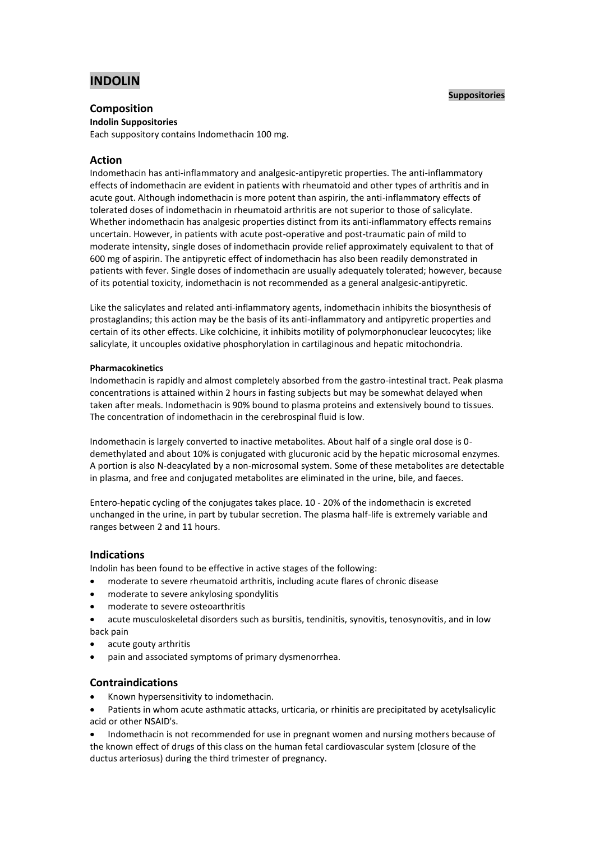# **INDOLIN**

### **Suppositories**

# **Composition**

**Indolin Suppositories**

Each suppository contains Indomethacin 100 mg.

# **Action**

Indomethacin has anti-inflammatory and analgesic-antipyretic properties. The anti-inflammatory effects of indomethacin are evident in patients with rheumatoid and other types of arthritis and in acute gout. Although indomethacin is more potent than aspirin, the anti-inflammatory effects of tolerated doses of indomethacin in rheumatoid arthritis are not superior to those of salicylate. Whether indomethacin has analgesic properties distinct from its anti-inflammatory effects remains uncertain. However, in patients with acute post-operative and post-traumatic pain of mild to moderate intensity, single doses of indomethacin provide relief approximately equivalent to that of 600 mg of aspirin. The antipyretic effect of indomethacin has also been readily demonstrated in patients with fever. Single doses of indomethacin are usually adequately tolerated; however, because of its potential toxicity, indomethacin is not recommended as a general analgesic-antipyretic.

Like the salicylates and related anti-inflammatory agents, indomethacin inhibits the biosynthesis of prostaglandins; this action may be the basis of its anti-inflammatory and antipyretic properties and certain of its other effects. Like colchicine, it inhibits motility of polymorphonuclear leucocytes; like salicylate, it uncouples oxidative phosphorylation in cartilaginous and hepatic mitochondria.

# **Pharmacokinetics**

Indomethacin is rapidly and almost completely absorbed from the gastro-intestinal tract. Peak plasma concentrations is attained within 2 hours in fasting subjects but may be somewhat delayed when taken after meals. Indomethacin is 90% bound to plasma proteins and extensively bound to tissues. The concentration of indomethacin in the cerebrospinal fluid is low.

Indomethacin is largely converted to inactive metabolites. About half of a single oral dose is 0 demethylated and about 10% is conjugated with glucuronic acid by the hepatic microsomal enzymes. A portion is also N-deacylated by a non-microsomal system. Some of these metabolites are detectable in plasma, and free and conjugated metabolites are eliminated in the urine, bile, and faeces.

Entero-hepatic cycling of the conjugates takes place. 10 - 20% of the indomethacin is excreted unchanged in the urine, in part by tubular secretion. The plasma half-life is extremely variable and ranges between 2 and 11 hours.

# **Indications**

Indolin has been found to be effective in active stages of the following:

- moderate to severe rheumatoid arthritis, including acute flares of chronic disease
- moderate to severe ankylosing spondylitis
- moderate to severe osteoarthritis
- acute musculoskeletal disorders such as bursitis, tendinitis, synovitis, tenosynovitis, and in low back pain
- acute gouty arthritis
- pain and associated symptoms of primary dysmenorrhea.

# **Contraindications**

- Known hypersensitivity to indomethacin.
- Patients in whom acute asthmatic attacks, urticaria, or rhinitis are precipitated by acetylsalicylic acid or other NSAID's.

 Indomethacin is not recommended for use in pregnant women and nursing mothers because of the known effect of drugs of this class on the human fetal cardiovascular system (closure of the ductus arteriosus) during the third trimester of pregnancy.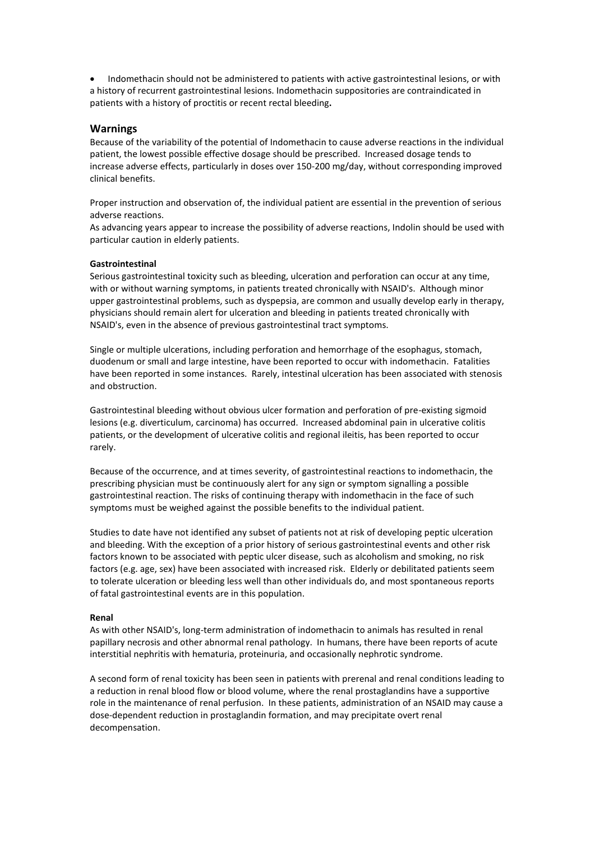Indomethacin should not be administered to patients with active gastrointestinal lesions, or with a history of recurrent gastrointestinal lesions. Indomethacin suppositories are contraindicated in patients with a history of proctitis or recent rectal bleeding**.**

### **Warnings**

Because of the variability of the potential of Indomethacin to cause adverse reactions in the individual patient, the lowest possible effective dosage should be prescribed. Increased dosage tends to increase adverse effects, particularly in doses over 150-200 mg/day, without corresponding improved clinical benefits.

Proper instruction and observation of, the individual patient are essential in the prevention of serious adverse reactions.

As advancing years appear to increase the possibility of adverse reactions, Indolin should be used with particular caution in elderly patients.

#### **Gastrointestinal**

Serious gastrointestinal toxicity such as bleeding, ulceration and perforation can occur at any time, with or without warning symptoms, in patients treated chronically with NSAID's. Although minor upper gastrointestinal problems, such as dyspepsia, are common and usually develop early in therapy, physicians should remain alert for ulceration and bleeding in patients treated chronically with NSAID's, even in the absence of previous gastrointestinal tract symptoms.

Single or multiple ulcerations, including perforation and hemorrhage of the esophagus, stomach, duodenum or small and large intestine, have been reported to occur with indomethacin. Fatalities have been reported in some instances. Rarely, intestinal ulceration has been associated with stenosis and obstruction.

Gastrointestinal bleeding without obvious ulcer formation and perforation of pre-existing sigmoid lesions (e.g. diverticulum, carcinoma) has occurred. Increased abdominal pain in ulcerative colitis patients, or the development of ulcerative colitis and regional ileitis, has been reported to occur rarely.

Because of the occurrence, and at times severity, of gastrointestinal reactions to indomethacin, the prescribing physician must be continuously alert for any sign or symptom signalling a possible gastrointestinal reaction. The risks of continuing therapy with indomethacin in the face of such symptoms must be weighed against the possible benefits to the individual patient.

Studies to date have not identified any subset of patients not at risk of developing peptic ulceration and bleeding. With the exception of a prior history of serious gastrointestinal events and other risk factors known to be associated with peptic ulcer disease, such as alcoholism and smoking, no risk factors (e.g. age, sex) have been associated with increased risk. Elderly or debilitated patients seem to tolerate ulceration or bleeding less well than other individuals do, and most spontaneous reports of fatal gastrointestinal events are in this population.

#### **Renal**

As with other NSAID's, long-term administration of indomethacin to animals has resulted in renal papillary necrosis and other abnormal renal pathology. In humans, there have been reports of acute interstitial nephritis with hematuria, proteinuria, and occasionally nephrotic syndrome.

A second form of renal toxicity has been seen in patients with prerenal and renal conditions leading to a reduction in renal blood flow or blood volume, where the renal prostaglandins have a supportive role in the maintenance of renal perfusion. In these patients, administration of an NSAID may cause a dose-dependent reduction in prostaglandin formation, and may precipitate overt renal decompensation.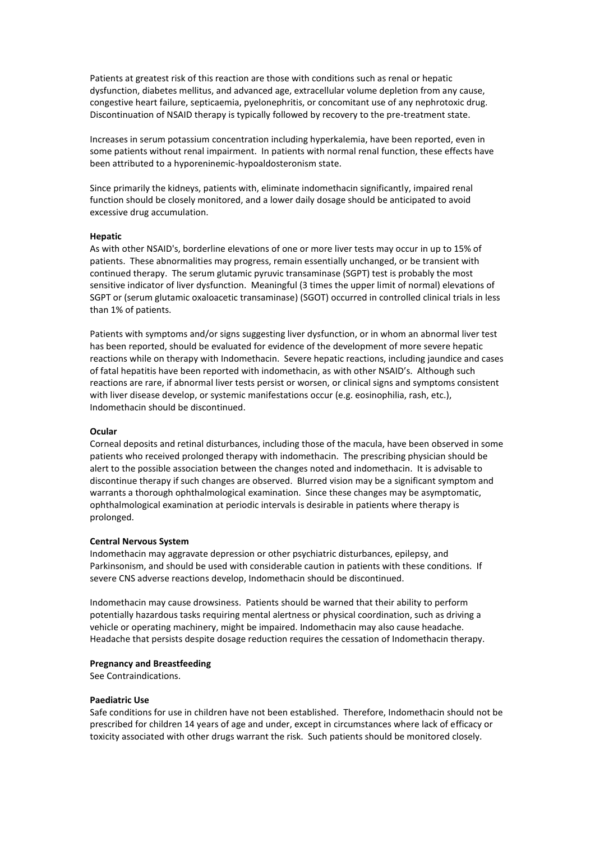Patients at greatest risk of this reaction are those with conditions such as renal or hepatic dysfunction, diabetes mellitus, and advanced age, extracellular volume depletion from any cause, congestive heart failure, septicaemia, pyelonephritis, or concomitant use of any nephrotoxic drug. Discontinuation of NSAID therapy is typically followed by recovery to the pre-treatment state.

Increases in serum potassium concentration including hyperkalemia, have been reported, even in some patients without renal impairment. In patients with normal renal function, these effects have been attributed to a hyporeninemic-hypoaldosteronism state.

Since primarily the kidneys, patients with, eliminate indomethacin significantly, impaired renal function should be closely monitored, and a lower daily dosage should be anticipated to avoid excessive drug accumulation.

#### **Hepatic**

As with other NSAID's, borderline elevations of one or more liver tests may occur in up to 15% of patients. These abnormalities may progress, remain essentially unchanged, or be transient with continued therapy. The serum glutamic pyruvic transaminase (SGPT) test is probably the most sensitive indicator of liver dysfunction. Meaningful (3 times the upper limit of normal) elevations of SGPT or (serum glutamic oxaloacetic transaminase) (SGOT) occurred in controlled clinical trials in less than 1% of patients.

Patients with symptoms and/or signs suggesting liver dysfunction, or in whom an abnormal liver test has been reported, should be evaluated for evidence of the development of more severe hepatic reactions while on therapy with Indomethacin. Severe hepatic reactions, including jaundice and cases of fatal hepatitis have been reported with indomethacin, as with other NSAID's. Although such reactions are rare, if abnormal liver tests persist or worsen, or clinical signs and symptoms consistent with liver disease develop, or systemic manifestations occur (e.g. eosinophilia, rash, etc.), Indomethacin should be discontinued.

#### **Ocular**

Corneal deposits and retinal disturbances, including those of the macula, have been observed in some patients who received prolonged therapy with indomethacin. The prescribing physician should be alert to the possible association between the changes noted and indomethacin. It is advisable to discontinue therapy if such changes are observed. Blurred vision may be a significant symptom and warrants a thorough ophthalmological examination. Since these changes may be asymptomatic, ophthalmological examination at periodic intervals is desirable in patients where therapy is prolonged.

#### **Central Nervous System**

Indomethacin may aggravate depression or other psychiatric disturbances, epilepsy, and Parkinsonism, and should be used with considerable caution in patients with these conditions. If severe CNS adverse reactions develop, Indomethacin should be discontinued.

Indomethacin may cause drowsiness. Patients should be warned that their ability to perform potentially hazardous tasks requiring mental alertness or physical coordination, such as driving a vehicle or operating machinery, might be impaired. Indomethacin may also cause headache. Headache that persists despite dosage reduction requires the cessation of Indomethacin therapy.

#### **Pregnancy and Breastfeeding**

See Contraindications.

#### **Paediatric Use**

Safe conditions for use in children have not been established. Therefore, Indomethacin should not be prescribed for children 14 years of age and under, except in circumstances where lack of efficacy or toxicity associated with other drugs warrant the risk. Such patients should be monitored closely.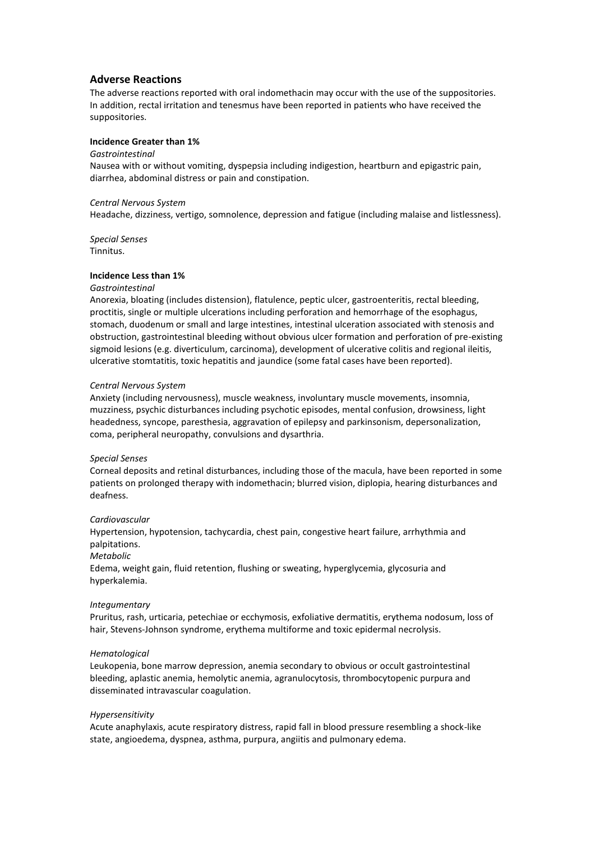# **Adverse Reactions**

The adverse reactions reported with oral indomethacin may occur with the use of the suppositories. In addition, rectal irritation and tenesmus have been reported in patients who have received the suppositories.

# **Incidence Greater than 1%**

#### *Gastrointestinal*

Nausea with or without vomiting, dyspepsia including indigestion, heartburn and epigastric pain, diarrhea, abdominal distress or pain and constipation.

#### *Central Nervous System*

Headache, dizziness, vertigo, somnolence, depression and fatigue (including malaise and listlessness).

*Special Senses* Tinnitus.

#### **Incidence Less than 1%**

#### *Gastrointestinal*

Anorexia, bloating (includes distension), flatulence, peptic ulcer, gastroenteritis, rectal bleeding, proctitis, single or multiple ulcerations including perforation and hemorrhage of the esophagus, stomach, duodenum or small and large intestines, intestinal ulceration associated with stenosis and obstruction, gastrointestinal bleeding without obvious ulcer formation and perforation of pre-existing sigmoid lesions (e.g. diverticulum, carcinoma), development of ulcerative colitis and regional ileitis, ulcerative stomtatitis, toxic hepatitis and jaundice (some fatal cases have been reported).

#### *Central Nervous System*

Anxiety (including nervousness), muscle weakness, involuntary muscle movements, insomnia, muzziness, psychic disturbances including psychotic episodes, mental confusion, drowsiness, light headedness, syncope, paresthesia, aggravation of epilepsy and parkinsonism, depersonalization, coma, peripheral neuropathy, convulsions and dysarthria.

#### *Special Senses*

Corneal deposits and retinal disturbances, including those of the macula, have been reported in some patients on prolonged therapy with indomethacin; blurred vision, diplopia, hearing disturbances and deafness.

#### *Cardiovascular*

Hypertension, hypotension, tachycardia, chest pain, congestive heart failure, arrhythmia and palpitations.

### *Metabolic*

Edema, weight gain, fluid retention, flushing or sweating, hyperglycemia, glycosuria and hyperkalemia.

#### *Integumentary*

Pruritus, rash, urticaria, petechiae or ecchymosis, exfoliative dermatitis, erythema nodosum, loss of hair, Stevens-Johnson syndrome, erythema multiforme and toxic epidermal necrolysis.

#### *Hematological*

Leukopenia, bone marrow depression, anemia secondary to obvious or occult gastrointestinal bleeding, aplastic anemia, hemolytic anemia, agranulocytosis, thrombocytopenic purpura and disseminated intravascular coagulation.

#### *Hypersensitivity*

Acute anaphylaxis, acute respiratory distress, rapid fall in blood pressure resembling a shock-like state, angioedema, dyspnea, asthma, purpura, angiitis and pulmonary edema.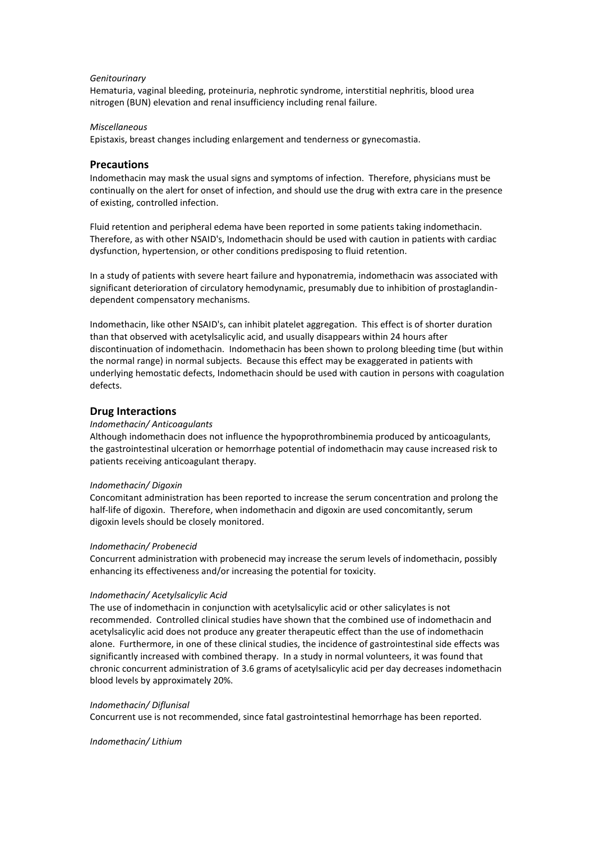#### *Genitourinary*

Hematuria, vaginal bleeding, proteinuria, nephrotic syndrome, interstitial nephritis, blood urea nitrogen (BUN) elevation and renal insufficiency including renal failure.

#### *Miscellaneous*

Epistaxis, breast changes including enlargement and tenderness or gynecomastia.

### **Precautions**

Indomethacin may mask the usual signs and symptoms of infection. Therefore, physicians must be continually on the alert for onset of infection, and should use the drug with extra care in the presence of existing, controlled infection.

Fluid retention and peripheral edema have been reported in some patients taking indomethacin. Therefore, as with other NSAID's, Indomethacin should be used with caution in patients with cardiac dysfunction, hypertension, or other conditions predisposing to fluid retention.

In a study of patients with severe heart failure and hyponatremia, indomethacin was associated with significant deterioration of circulatory hemodynamic, presumably due to inhibition of prostaglandindependent compensatory mechanisms.

Indomethacin, like other NSAID's, can inhibit platelet aggregation. This effect is of shorter duration than that observed with acetylsalicylic acid, and usually disappears within 24 hours after discontinuation of indomethacin. Indomethacin has been shown to prolong bleeding time (but within the normal range) in normal subjects. Because this effect may be exaggerated in patients with underlying hemostatic defects, Indomethacin should be used with caution in persons with coagulation defects.

### **Drug Interactions**

#### *Indomethacin/ Anticoagulants*

Although indomethacin does not influence the hypoprothrombinemia produced by anticoagulants, the gastrointestinal ulceration or hemorrhage potential of indomethacin may cause increased risk to patients receiving anticoagulant therapy.

#### *Indomethacin/ Digoxin*

Concomitant administration has been reported to increase the serum concentration and prolong the half-life of digoxin. Therefore, when indomethacin and digoxin are used concomitantly, serum digoxin levels should be closely monitored.

#### *Indomethacin/ Probenecid*

Concurrent administration with probenecid may increase the serum levels of indomethacin, possibly enhancing its effectiveness and/or increasing the potential for toxicity.

#### *Indomethacin/ Acetylsalicylic Acid*

The use of indomethacin in conjunction with acetylsalicylic acid or other salicylates is not recommended. Controlled clinical studies have shown that the combined use of indomethacin and acetylsalicylic acid does not produce any greater therapeutic effect than the use of indomethacin alone. Furthermore, in one of these clinical studies, the incidence of gastrointestinal side effects was significantly increased with combined therapy. In a study in normal volunteers, it was found that chronic concurrent administration of 3.6 grams of acetylsalicylic acid per day decreases indomethacin blood levels by approximately 20%.

#### *Indomethacin/ Diflunisal*

Concurrent use is not recommended, since fatal gastrointestinal hemorrhage has been reported.

#### *Indomethacin/ Lithium*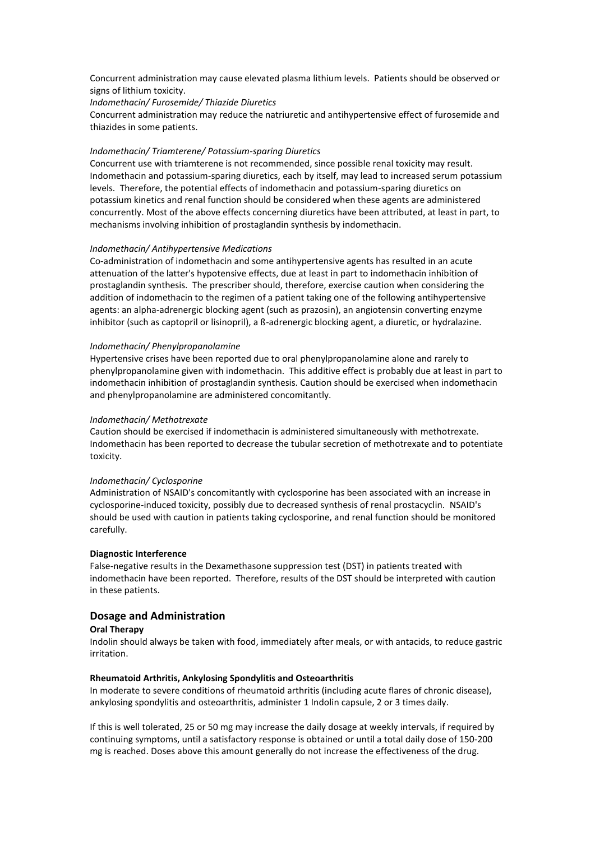Concurrent administration may cause elevated plasma lithium levels. Patients should be observed or signs of lithium toxicity.

*Indomethacin/ Furosemide/ Thiazide Diuretics*

Concurrent administration may reduce the natriuretic and antihypertensive effect of furosemide and thiazides in some patients.

#### *Indomethacin/ Triamterene/ Potassium-sparing Diuretics*

Concurrent use with triamterene is not recommended, since possible renal toxicity may result. Indomethacin and potassium-sparing diuretics, each by itself, may lead to increased serum potassium levels. Therefore, the potential effects of indomethacin and potassium-sparing diuretics on potassium kinetics and renal function should be considered when these agents are administered concurrently. Most of the above effects concerning diuretics have been attributed, at least in part, to mechanisms involving inhibition of prostaglandin synthesis by indomethacin.

#### *Indomethacin/ Antihypertensive Medications*

Co-administration of indomethacin and some antihypertensive agents has resulted in an acute attenuation of the latter's hypotensive effects, due at least in part to indomethacin inhibition of prostaglandin synthesis. The prescriber should, therefore, exercise caution when considering the addition of indomethacin to the regimen of a patient taking one of the following antihypertensive agents: an alpha-adrenergic blocking agent (such as prazosin), an angiotensin converting enzyme inhibitor (such as captopril or lisinopril), a ß-adrenergic blocking agent, a diuretic, or hydralazine.

#### *Indomethacin/ Phenylpropanolamine*

Hypertensive crises have been reported due to oral phenylpropanolamine alone and rarely to phenylpropanolamine given with indomethacin. This additive effect is probably due at least in part to indomethacin inhibition of prostaglandin synthesis. Caution should be exercised when indomethacin and phenylpropanolamine are administered concomitantly.

#### *Indomethacin/ Methotrexate*

Caution should be exercised if indomethacin is administered simultaneously with methotrexate. Indomethacin has been reported to decrease the tubular secretion of methotrexate and to potentiate toxicity.

#### *Indomethacin/ Cyclosporine*

Administration of NSAID's concomitantly with cyclosporine has been associated with an increase in cyclosporine-induced toxicity, possibly due to decreased synthesis of renal prostacyclin. NSAID's should be used with caution in patients taking cyclosporine, and renal function should be monitored carefully.

#### **Diagnostic Interference**

False-negative results in the Dexamethasone suppression test (DST) in patients treated with indomethacin have been reported. Therefore, results of the DST should be interpreted with caution in these patients.

# **Dosage and Administration**

### **Oral Therapy**

Indolin should always be taken with food, immediately after meals, or with antacids, to reduce gastric irritation.

#### **Rheumatoid Arthritis, Ankylosing Spondylitis and Osteoarthritis**

In moderate to severe conditions of rheumatoid arthritis (including acute flares of chronic disease), ankylosing spondylitis and osteoarthritis, administer 1 Indolin capsule, 2 or 3 times daily.

If this is well tolerated, 25 or 50 mg may increase the daily dosage at weekly intervals, if required by continuing symptoms, until a satisfactory response is obtained or until a total daily dose of 150-200 mg is reached. Doses above this amount generally do not increase the effectiveness of the drug.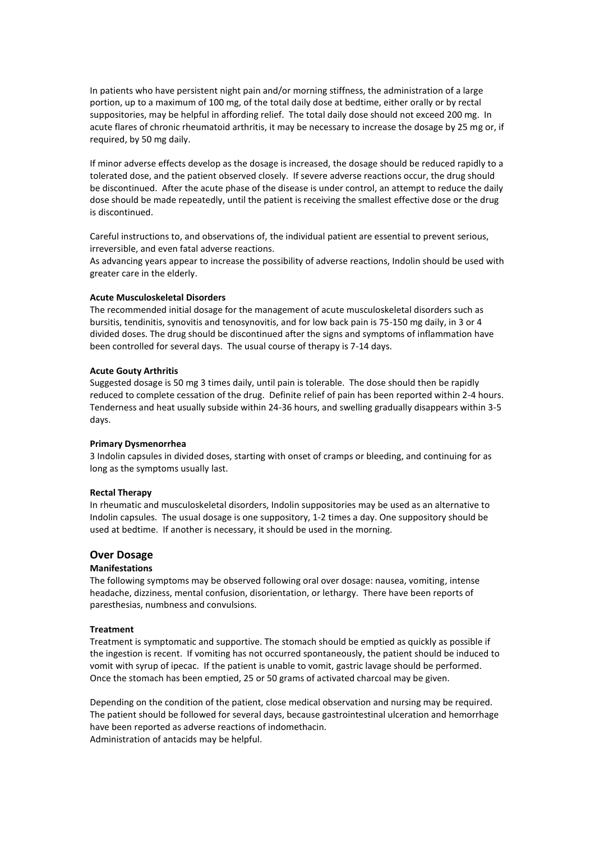In patients who have persistent night pain and/or morning stiffness, the administration of a large portion, up to a maximum of 100 mg, of the total daily dose at bedtime, either orally or by rectal suppositories, may be helpful in affording relief. The total daily dose should not exceed 200 mg. In acute flares of chronic rheumatoid arthritis, it may be necessary to increase the dosage by 25 mg or, if required, by 50 mg daily.

If minor adverse effects develop as the dosage is increased, the dosage should be reduced rapidly to a tolerated dose, and the patient observed closely. If severe adverse reactions occur, the drug should be discontinued. After the acute phase of the disease is under control, an attempt to reduce the daily dose should be made repeatedly, until the patient is receiving the smallest effective dose or the drug is discontinued.

Careful instructions to, and observations of, the individual patient are essential to prevent serious, irreversible, and even fatal adverse reactions.

As advancing years appear to increase the possibility of adverse reactions, Indolin should be used with greater care in the elderly.

#### **Acute Musculoskeletal Disorders**

The recommended initial dosage for the management of acute musculoskeletal disorders such as bursitis, tendinitis, synovitis and tenosynovitis, and for low back pain is 75-150 mg daily, in 3 or 4 divided doses. The drug should be discontinued after the signs and symptoms of inflammation have been controlled for several days. The usual course of therapy is 7-14 days.

#### **Acute Gouty Arthritis**

Suggested dosage is 50 mg 3 times daily, until pain is tolerable. The dose should then be rapidly reduced to complete cessation of the drug. Definite relief of pain has been reported within 2-4 hours. Tenderness and heat usually subside within 24-36 hours, and swelling gradually disappears within 3-5 days.

#### **Primary Dysmenorrhea**

3 Indolin capsules in divided doses, starting with onset of cramps or bleeding, and continuing for as long as the symptoms usually last.

#### **Rectal Therapy**

In rheumatic and musculoskeletal disorders, Indolin suppositories may be used as an alternative to Indolin capsules. The usual dosage is one suppository, 1-2 times a day. One suppository should be used at bedtime. If another is necessary, it should be used in the morning.

# **Over Dosage**

#### **Manifestations**

The following symptoms may be observed following oral over dosage: nausea, vomiting, intense headache, dizziness, mental confusion, disorientation, or lethargy. There have been reports of paresthesias, numbness and convulsions.

#### **Treatment**

Treatment is symptomatic and supportive. The stomach should be emptied as quickly as possible if the ingestion is recent. If vomiting has not occurred spontaneously, the patient should be induced to vomit with syrup of ipecac. If the patient is unable to vomit, gastric lavage should be performed. Once the stomach has been emptied, 25 or 50 grams of activated charcoal may be given.

Depending on the condition of the patient, close medical observation and nursing may be required. The patient should be followed for several days, because gastrointestinal ulceration and hemorrhage have been reported as adverse reactions of indomethacin. Administration of antacids may be helpful.